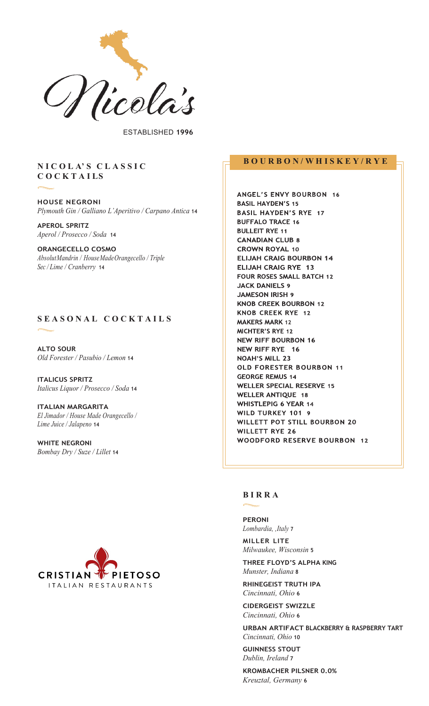

ESTABLISHED **1996**

## **N I C O L A' S C L A S S I C C O C K T A I LS**

**HOUSE NEGRONI** *Plymouth Gin / Galliano L'Aperitivo / Carpano Antica* **14**

**APEROL SPRITZ** *Aperol / Prosecco / Soda* **14**

**ORANGECELLO COSMO** *AbsolutMandrin / HouseMadeOrangecello / Triple Sec / Lime / Cranberry* **<sup>14</sup>**

# **S E A S O N A L C O C K T A I L S**

**ALTO SOUR** *Old Forester / Pasubio / Lemon* **14**

**ITALICUS SPRITZ** *Italicus Liquor / Prosecco / Soda* **14**

**ITALIAN MARGARITA** *El Jimador / House Made Orangecello / Lime Juice / Jalapeno* **14**

**WHITE NEGRONI**  *Bombay Dry / Suze / Lillet* **14**



# **B O U R B O N / W H I S K E Y / R Y E**

ANGEL'S ENVY BOURBON 16 **BASIL HAYDEN'S 15 BASIL HAYDEN'S RYE 17 BUFFALO TRACE 16 BULLEIT RYE 11 CANADIAN CLUB 8 CROWN ROYAL 10 ELIJAH CRAIG BOURBON 14** ELIJAH CRAIG RYE 13 FOUR ROSES SMALL BATCH 12 **JACK DANIELS 9 JAMESON IRISH 9 KNOB CREEK BOURBON 12** KNOB CREEK RYE 12 **MAKERS MARK 12** MICHTER'S RYE 12 **NEW RIFF BOURBON 16** NEW RIFF RYE 16 **NOAH'S MILL 23 OLD FORESTER BOURBON 11 GEORGE REMUS 14 WELLER SPECIAL RESERVE 15 WELLER ANTIQUE 18 WHISTLEPIG 6 YEAR 14** WILD TURKEY 101 9 WILLETT POT STILL BOURBON 20 **WILLETT RYE 26 WOODFORD RESERVE BOURBON 12** 

#### **B I R R A**

**PERONI** *Lombardia, ,Italy* **<sup>7</sup> MILLER LITE**

*Milwaukee, Wisconsin* **5**

**THREE FLOYD'S ALPHA KING** *Munster, Indiana* **8**

**RHINEGEIST TRUTH IPA** *Cincinnati, Ohio* **6**

**CIDERGEIST SWIZZLE** *Cincinnati, Ohio* **6**

**URBAN ARTIFACT BLACKBERRY & RASPBERRY TART** *Cincinnati, Ohio* **10**

**GUINNESS STOUT** *Dublin, Ireland* **7**

**KROMBACHER PILSNER 0.0%** *Kreuztal, Germany* **6**